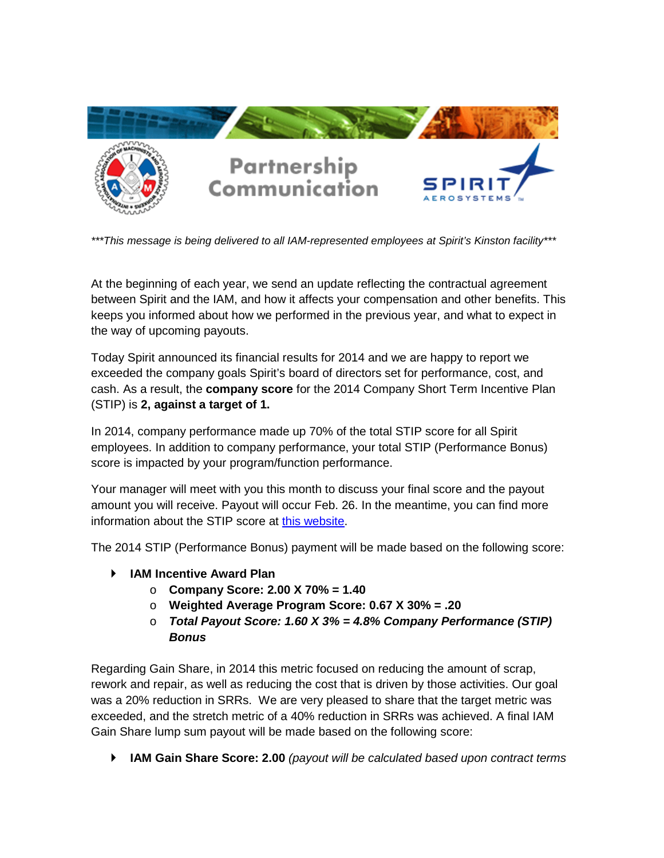

*\*\*\*This message is being delivered to all IAM-represented employees at Spirit's Kinston facility\*\*\**

At the beginning of each year, we send an update reflecting the contractual agreement between Spirit and the IAM, and how it affects your compensation and other benefits. This keeps you informed about how we performed in the previous year, and what to expect in the way of upcoming payouts.

Today Spirit announced its financial results for 2014 and we are happy to report we exceeded the company goals Spirit's board of directors set for performance, cost, and cash. As a result, the **company score** for the 2014 Company Short Term Incentive Plan (STIP) is **2, against a target of 1.**

In 2014, company performance made up 70% of the total STIP score for all Spirit employees. In addition to company performance, your total STIP (Performance Bonus) score is impacted by your program/function performance.

Your manager will meet with you this month to discuss your final score and the payout amount you will receive. Payout will occur Feb. 26. In the meantime, you can find more information about the STIP score at [this website.](https://inside.spiritaero.com/stip)

The 2014 STIP (Performance Bonus) payment will be made based on the following score:

- **IAM Incentive Award Plan**
	- o **Company Score: 2.00 X 70% = 1.40**
	- o **Weighted Average Program Score: 0.67 X 30% = .20**
	- o *Total Payout Score: 1.60 X 3% = 4.8% Company Performance (STIP) Bonus*

Regarding Gain Share, in 2014 this metric focused on reducing the amount of scrap, rework and repair, as well as reducing the cost that is driven by those activities. Our goal was a 20% reduction in SRRs. We are very pleased to share that the target metric was exceeded, and the stretch metric of a 40% reduction in SRRs was achieved. A final IAM Gain Share lump sum payout will be made based on the following score:

**IAM Gain Share Score: 2.00** *(payout will be calculated based upon contract terms*